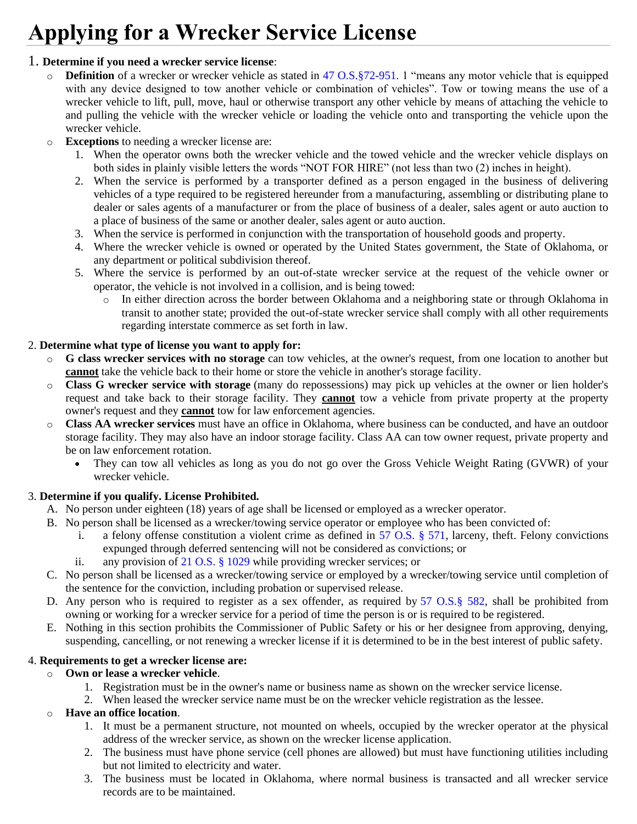# **Applying for a Wrecker Service License**

#### 1. **Determine if you need a wrecker service license**:

- o **Definition** of a wrecker or wrecker vehicle as stated in [47 O.S.§72-951.](http://www.oscn.net/applications/oscn/DeliverDocument.asp?CiteID=440008) 1 "means any motor vehicle that is equipped with any device designed to tow another vehicle or combination of vehicles". Tow or towing means the use of a wrecker vehicle to lift, pull, move, haul or otherwise transport any other vehicle by means of attaching the vehicle to and pulling the vehicle with the wrecker vehicle or loading the vehicle onto and transporting the vehicle upon the wrecker vehicle.
- o **Exceptions** to needing a wrecker license are:
	- 1. When the operator owns both the wrecker vehicle and the towed vehicle and the wrecker vehicle displays on both sides in plainly visible letters the words "NOT FOR HIRE" (not less than two (2) inches in height).
	- 2. When the service is performed by a transporter defined as a person engaged in the business of delivering vehicles of a type required to be registered hereunder from a manufacturing, assembling or distributing plane to dealer or sales agents of a manufacturer or from the place of business of a dealer, sales agent or auto auction to a place of business of the same or another dealer, sales agent or auto auction.
	- 3. When the service is performed in conjunction with the transportation of household goods and property.
	- 4. Where the wrecker vehicle is owned or operated by the United States government, the State of Oklahoma, or any department or political subdivision thereof.
	- 5. Where the service is performed by an out-of-state wrecker service at the request of the vehicle owner or operator, the vehicle is not involved in a collision, and is being towed:
		- o In either direction across the border between Oklahoma and a neighboring state or through Oklahoma in transit to another state; provided the out-of-state wrecker service shall comply with all other requirements regarding interstate commerce as set forth in law.

#### 2. **Determine what type of license you want to apply for:**

- o **G class wrecker services with no storage** can tow vehicles, at the owner's request, from one location to another but **cannot** take the vehicle back to their home or store the vehicle in another's storage facility.
- o **Class G wrecker service with storage** (many do repossessions) may pick up vehicles at the owner or lien holder's request and take back to their storage facility. They **cannot** tow a vehicle from private property at the property owner's request and they **cannot** tow for law enforcement agencies.
- o **Class AA wrecker services** must have an office in Oklahoma, where business can be conducted, and have an outdoor storage facility. They may also have an indoor storage facility. Class AA can tow owner request, private property and be on law enforcement rotation.
	- They can tow all vehicles as long as you do not go over the Gross Vehicle Weight Rating (GVWR) of your wrecker vehicle.

## 3. **Determine if you qualify. License Prohibited.**

- A. No person under eighteen (18) years of age shall be licensed or employed as a wrecker operator.
- B. No person shall be licensed as a wrecker/towing service operator or employee who has been convicted of:
	- i. a felony offense constitution a violent crime as defined in 57 O.S.  $\S$  571, larceny, theft. Felony convictions expunged through deferred sentencing will not be considered as convictions; or
	- ii. any provision of [21 O.S. § 1029](https://www.oscn.net/applications/oscn/DeliverDocument.asp?CiteID=69526) while providing wrecker services; or
- C. No person shall be licensed as a wrecker/towing service or employed by a wrecker/towing service until completion of the sentence for the conviction, including probation or supervised release.
- D. Any person who is required to register as a sex offender, as required by [57 O.S.§](http://www.oscn.net/applications/oscn/DeliverDocument.asp?CiteID=84014) 582, shall be prohibited from owning or working for a wrecker service for a period of time the person is or is required to be registered.
- E. Nothing in this section prohibits the Commissioner of Public Safety or his or her designee from approving, denying, suspending, cancelling, or not renewing a wrecker license if it is determined to be in the best interest of public safety.

## 4. **Requirements to get a wrecker license are:**

## o **Own or lease a wrecker vehicle**.

- 1. Registration must be in the owner's name or business name as shown on the wrecker service license.
- 2. When leased the wrecker service name must be on the wrecker vehicle registration as the lessee.

## o **Have an office location**.

- 1. It must be a permanent structure, not mounted on wheels, occupied by the wrecker operator at the physical address of the wrecker service, as shown on the wrecker license application.
- 2. The business must have phone service (cell phones are allowed) but must have functioning utilities including but not limited to electricity and water.
- 3. The business must be located in Oklahoma, where normal business is transacted and all wrecker service records are to be maintained.